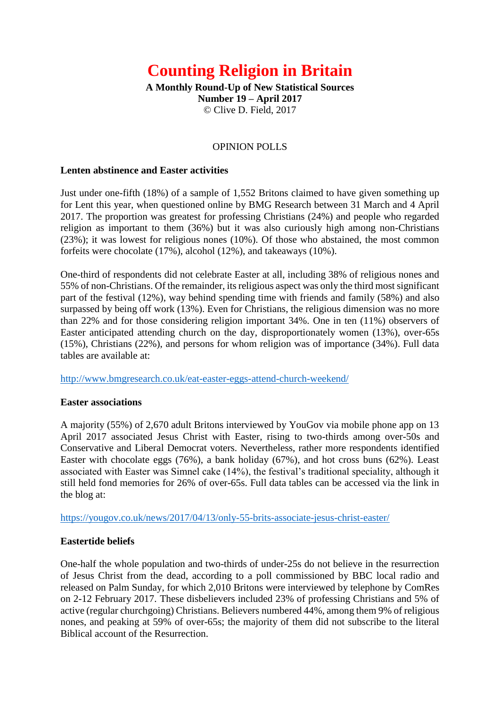# **Counting Religion in Britain**

**A Monthly Round-Up of New Statistical Sources Number 19 – April 2017** © Clive D. Field, 2017

## OPINION POLLS

## **Lenten abstinence and Easter activities**

Just under one-fifth (18%) of a sample of 1,552 Britons claimed to have given something up for Lent this year, when questioned online by BMG Research between 31 March and 4 April 2017. The proportion was greatest for professing Christians (24%) and people who regarded religion as important to them (36%) but it was also curiously high among non-Christians (23%); it was lowest for religious nones (10%). Of those who abstained, the most common forfeits were chocolate (17%), alcohol (12%), and takeaways (10%).

One-third of respondents did not celebrate Easter at all, including 38% of religious nones and 55% of non-Christians. Of the remainder, its religious aspect was only the third most significant part of the festival (12%), way behind spending time with friends and family (58%) and also surpassed by being off work (13%). Even for Christians, the religious dimension was no more than 22% and for those considering religion important 34%. One in ten (11%) observers of Easter anticipated attending church on the day, disproportionately women (13%), over-65s (15%), Christians (22%), and persons for whom religion was of importance (34%). Full data tables are available at:

<http://www.bmgresearch.co.uk/eat-easter-eggs-attend-church-weekend/>

## **Easter associations**

A majority (55%) of 2,670 adult Britons interviewed by YouGov via mobile phone app on 13 April 2017 associated Jesus Christ with Easter, rising to two-thirds among over-50s and Conservative and Liberal Democrat voters. Nevertheless, rather more respondents identified Easter with chocolate eggs (76%), a bank holiday (67%), and hot cross buns (62%). Least associated with Easter was Simnel cake (14%), the festival's traditional speciality, although it still held fond memories for 26% of over-65s. Full data tables can be accessed via the link in the blog at:

<https://yougov.co.uk/news/2017/04/13/only-55-brits-associate-jesus-christ-easter/>

## **Eastertide beliefs**

One-half the whole population and two-thirds of under-25s do not believe in the resurrection of Jesus Christ from the dead, according to a poll commissioned by BBC local radio and released on Palm Sunday, for which 2,010 Britons were interviewed by telephone by ComRes on 2-12 February 2017. These disbelievers included 23% of professing Christians and 5% of active (regular churchgoing) Christians. Believers numbered 44%, among them 9% of religious nones, and peaking at 59% of over-65s; the majority of them did not subscribe to the literal Biblical account of the Resurrection.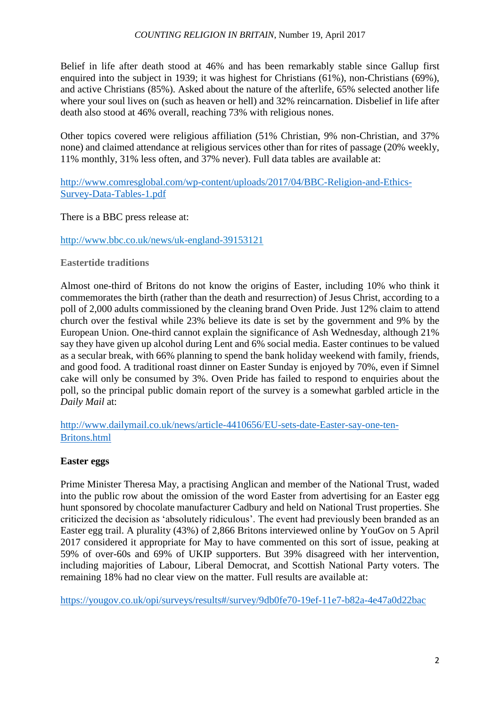Belief in life after death stood at 46% and has been remarkably stable since Gallup first enquired into the subject in 1939; it was highest for Christians (61%), non-Christians (69%), and active Christians (85%). Asked about the nature of the afterlife, 65% selected another life where your soul lives on (such as heaven or hell) and 32% reincarnation. Disbelief in life after death also stood at 46% overall, reaching 73% with religious nones.

Other topics covered were religious affiliation (51% Christian, 9% non-Christian, and 37% none) and claimed attendance at religious services other than for rites of passage (20% weekly, 11% monthly, 31% less often, and 37% never). Full data tables are available at:

[http://www.comresglobal.com/wp-content/uploads/2017/04/BBC-Religion-and-Ethics-](http://www.comresglobal.com/wp-content/uploads/2017/04/BBC-Religion-and-Ethics-Survey-Data-Tables-1.pdf)[Survey-Data-Tables-1.pdf](http://www.comresglobal.com/wp-content/uploads/2017/04/BBC-Religion-and-Ethics-Survey-Data-Tables-1.pdf)

There is a BBC press release at:

[http://www.bbc.co.uk/news/uk-england-39153121](https://mail.bham.ac.uk/owa/redir.aspx?C=bWqCYiI9TyLSHP5KxEU5KuJpQMojNHu6o3wVzF_iIqCaY-dzJX_UCA..&URL=http%3a%2f%2fchurchofengland.us2.list-manage.com%2ftrack%2fclick%3fu%3d50eac70851c7245ce1ce00c45%26id%3d8965a10e3d%26e%3d352bc36624)

# **Eastertide traditions**

Almost one-third of Britons do not know the origins of Easter, including 10% who think it commemorates the birth (rather than the death and resurrection) of Jesus Christ, according to a poll of 2,000 adults commissioned by the cleaning brand Oven Pride. Just 12% claim to attend church over the festival while 23% believe its date is set by the government and 9% by the European Union. One-third cannot explain the significance of Ash Wednesday, although 21% say they have given up alcohol during Lent and 6% social media. Easter continues to be valued as a secular break, with 66% planning to spend the bank holiday weekend with family, friends, and good food. A traditional roast dinner on Easter Sunday is enjoyed by 70%, even if Simnel cake will only be consumed by 3%. Oven Pride has failed to respond to enquiries about the poll, so the principal public domain report of the survey is a somewhat garbled article in the *Daily Mail* at:

[http://www.dailymail.co.uk/news/article-4410656/EU-sets-date-Easter-say-one-ten-](http://www.dailymail.co.uk/news/article-4410656/EU-sets-date-Easter-say-one-ten-Britons.html)[Britons.html](http://www.dailymail.co.uk/news/article-4410656/EU-sets-date-Easter-say-one-ten-Britons.html)

# **Easter eggs**

Prime Minister Theresa May, a practising Anglican and member of the National Trust, waded into the public row about the omission of the word Easter from advertising for an Easter egg hunt sponsored by chocolate manufacturer Cadbury and held on National Trust properties. She criticized the decision as 'absolutely ridiculous'. The event had previously been branded as an Easter egg trail. A plurality (43%) of 2,866 Britons interviewed online by YouGov on 5 April 2017 considered it appropriate for May to have commented on this sort of issue, peaking at 59% of over-60s and 69% of UKIP supporters. But 39% disagreed with her intervention, including majorities of Labour, Liberal Democrat, and Scottish National Party voters. The remaining 18% had no clear view on the matter. Full results are available at:

<https://yougov.co.uk/opi/surveys/results#/survey/9db0fe70-19ef-11e7-b82a-4e47a0d22bac>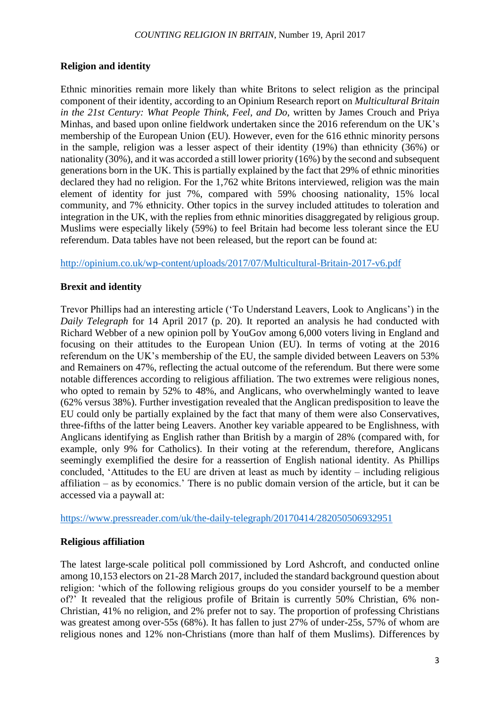# **Religion and identity**

Ethnic minorities remain more likely than white Britons to select religion as the principal component of their identity, according to an Opinium Research report on *Multicultural Britain in the 21st Century: What People Think, Feel, and Do*, written by James Crouch and Priya Minhas, and based upon online fieldwork undertaken since the 2016 referendum on the UK's membership of the European Union (EU). However, even for the 616 ethnic minority persons in the sample, religion was a lesser aspect of their identity (19%) than ethnicity (36%) or nationality (30%), and it was accorded a still lower priority (16%) by the second and subsequent generations born in the UK. This is partially explained by the fact that 29% of ethnic minorities declared they had no religion. For the 1,762 white Britons interviewed, religion was the main element of identity for just 7%, compared with 59% choosing nationality, 15% local community, and 7% ethnicity. Other topics in the survey included attitudes to toleration and integration in the UK, with the replies from ethnic minorities disaggregated by religious group. Muslims were especially likely (59%) to feel Britain had become less tolerant since the EU referendum. Data tables have not been released, but the report can be found at:

<http://opinium.co.uk/wp-content/uploads/2017/07/Multicultural-Britain-2017-v6.pdf>

# **Brexit and identity**

Trevor Phillips had an interesting article ('To Understand Leavers, Look to Anglicans') in the *Daily Telegraph* for 14 April 2017 (p. 20). It reported an analysis he had conducted with Richard Webber of a new opinion poll by YouGov among 6,000 voters living in England and focusing on their attitudes to the European Union (EU). In terms of voting at the 2016 referendum on the UK's membership of the EU, the sample divided between Leavers on 53% and Remainers on 47%, reflecting the actual outcome of the referendum. But there were some notable differences according to religious affiliation. The two extremes were religious nones, who opted to remain by 52% to 48%, and Anglicans, who overwhelmingly wanted to leave (62% versus 38%). Further investigation revealed that the Anglican predisposition to leave the EU could only be partially explained by the fact that many of them were also Conservatives, three-fifths of the latter being Leavers. Another key variable appeared to be Englishness, with Anglicans identifying as English rather than British by a margin of 28% (compared with, for example, only 9% for Catholics). In their voting at the referendum, therefore, Anglicans seemingly exemplified the desire for a reassertion of English national identity. As Phillips concluded, 'Attitudes to the EU are driven at least as much by identity – including religious affiliation – as by economics.' There is no public domain version of the article, but it can be accessed via a paywall at:

<https://www.pressreader.com/uk/the-daily-telegraph/20170414/282050506932951>

# **Religious affiliation**

The latest large-scale political poll commissioned by Lord Ashcroft, and conducted online among 10,153 electors on 21-28 March 2017, included the standard background question about religion: 'which of the following religious groups do you consider yourself to be a member of?' It revealed that the religious profile of Britain is currently 50% Christian, 6% non-Christian, 41% no religion, and 2% prefer not to say. The proportion of professing Christians was greatest among over-55s (68%). It has fallen to just 27% of under-25s, 57% of whom are religious nones and 12% non-Christians (more than half of them Muslims). Differences by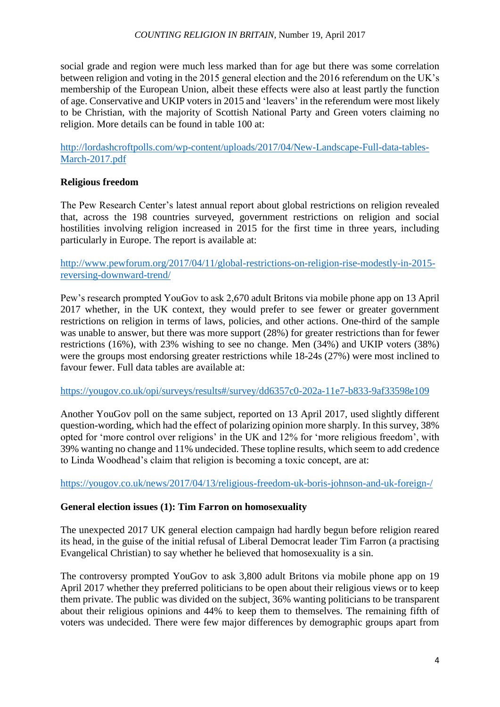## *COUNTING RELIGION IN BRITAIN*, Number 19, April 2017

social grade and region were much less marked than for age but there was some correlation between religion and voting in the 2015 general election and the 2016 referendum on the UK's membership of the European Union, albeit these effects were also at least partly the function of age. Conservative and UKIP voters in 2015 and 'leavers' in the referendum were most likely to be Christian, with the majority of Scottish National Party and Green voters claiming no religion. More details can be found in table 100 at:

[http://lordashcroftpolls.com/wp-content/uploads/2017/04/New-Landscape-Full-data-tables-](http://lordashcroftpolls.com/wp-content/uploads/2017/04/New-Landscape-Full-data-tables-March-2017.pdf)[March-2017.pdf](http://lordashcroftpolls.com/wp-content/uploads/2017/04/New-Landscape-Full-data-tables-March-2017.pdf)

# **Religious freedom**

The Pew Research Center's latest annual report about global restrictions on religion revealed that, across the 198 countries surveyed, government restrictions on religion and social hostilities involving religion increased in 2015 for the first time in three years, including particularly in Europe. The report is available at:

[http://www.pewforum.org/2017/04/11/global-restrictions-on-religion-rise-modestly-in-2015](http://www.pewforum.org/2017/04/11/global-restrictions-on-religion-rise-modestly-in-2015-reversing-downward-trend/) [reversing-downward-trend/](http://www.pewforum.org/2017/04/11/global-restrictions-on-religion-rise-modestly-in-2015-reversing-downward-trend/)

Pew's research prompted YouGov to ask 2,670 adult Britons via mobile phone app on 13 April 2017 whether, in the UK context, they would prefer to see fewer or greater government restrictions on religion in terms of laws, policies, and other actions. One-third of the sample was unable to answer, but there was more support (28%) for greater restrictions than for fewer restrictions (16%), with 23% wishing to see no change. Men (34%) and UKIP voters (38%) were the groups most endorsing greater restrictions while 18-24s (27%) were most inclined to favour fewer. Full data tables are available at:

<https://yougov.co.uk/opi/surveys/results#/survey/dd6357c0-202a-11e7-b833-9af33598e109>

Another YouGov poll on the same subject, reported on 13 April 2017, used slightly different question-wording, which had the effect of polarizing opinion more sharply. In this survey, 38% opted for 'more control over religions' in the UK and 12% for 'more religious freedom', with 39% wanting no change and 11% undecided. These topline results, which seem to add credence to Linda Woodhead's claim that religion is becoming a toxic concept, are at:

<https://yougov.co.uk/news/2017/04/13/religious-freedom-uk-boris-johnson-and-uk-foreign-/>

# **General election issues (1): Tim Farron on homosexuality**

The unexpected 2017 UK general election campaign had hardly begun before religion reared its head, in the guise of the initial refusal of Liberal Democrat leader Tim Farron (a practising Evangelical Christian) to say whether he believed that homosexuality is a sin.

The controversy prompted YouGov to ask 3,800 adult Britons via mobile phone app on 19 April 2017 whether they preferred politicians to be open about their religious views or to keep them private. The public was divided on the subject, 36% wanting politicians to be transparent about their religious opinions and 44% to keep them to themselves. The remaining fifth of voters was undecided. There were few major differences by demographic groups apart from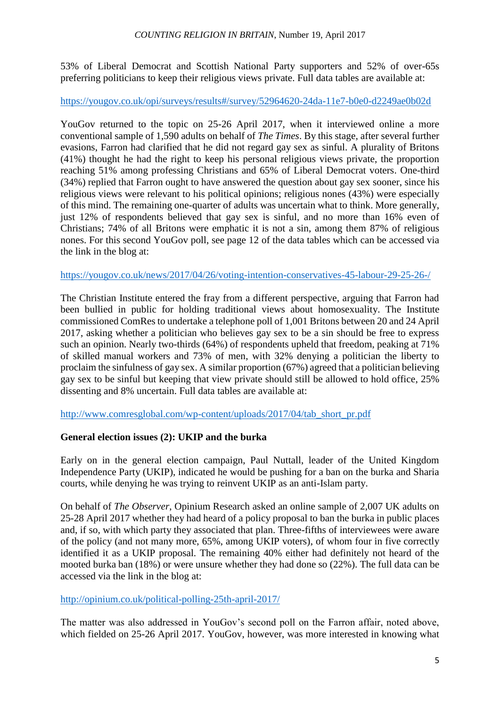53% of Liberal Democrat and Scottish National Party supporters and 52% of over-65s preferring politicians to keep their religious views private. Full data tables are available at:

## <https://yougov.co.uk/opi/surveys/results#/survey/52964620-24da-11e7-b0e0-d2249ae0b02d>

YouGov returned to the topic on 25-26 April 2017, when it interviewed online a more conventional sample of 1,590 adults on behalf of *The Times*. By this stage, after several further evasions, Farron had clarified that he did not regard gay sex as sinful. A plurality of Britons (41%) thought he had the right to keep his personal religious views private, the proportion reaching 51% among professing Christians and 65% of Liberal Democrat voters. One-third (34%) replied that Farron ought to have answered the question about gay sex sooner, since his religious views were relevant to his political opinions; religious nones (43%) were especially of this mind. The remaining one-quarter of adults was uncertain what to think. More generally, just 12% of respondents believed that gay sex is sinful, and no more than 16% even of Christians; 74% of all Britons were emphatic it is not a sin, among them 87% of religious nones. For this second YouGov poll, see page 12 of the data tables which can be accessed via the link in the blog at:

# <https://yougov.co.uk/news/2017/04/26/voting-intention-conservatives-45-labour-29-25-26-/>

The Christian Institute entered the fray from a different perspective, arguing that Farron had been bullied in public for holding traditional views about homosexuality. The Institute commissioned ComRes to undertake a telephone poll of 1,001 Britons between 20 and 24 April 2017, asking whether a politician who believes gay sex to be a sin should be free to express such an opinion. Nearly two-thirds (64%) of respondents upheld that freedom, peaking at 71% of skilled manual workers and 73% of men, with 32% denying a politician the liberty to proclaim the sinfulness of gay sex. A similar proportion (67%) agreed that a politician believing gay sex to be sinful but keeping that view private should still be allowed to hold office, 25% dissenting and 8% uncertain. Full data tables are available at:

[http://www.comresglobal.com/wp-content/uploads/2017/04/tab\\_short\\_pr.pdf](http://www.comresglobal.com/wp-content/uploads/2017/04/tab_short_pr.pdf)

# **General election issues (2): UKIP and the burka**

Early on in the general election campaign, Paul Nuttall, leader of the United Kingdom Independence Party (UKIP), indicated he would be pushing for a ban on the burka and Sharia courts, while denying he was trying to reinvent UKIP as an anti-Islam party.

On behalf of *The Observer*, Opinium Research asked an online sample of 2,007 UK adults on 25-28 April 2017 whether they had heard of a policy proposal to ban the burka in public places and, if so, with which party they associated that plan. Three-fifths of interviewees were aware of the policy (and not many more, 65%, among UKIP voters), of whom four in five correctly identified it as a UKIP proposal. The remaining 40% either had definitely not heard of the mooted burka ban (18%) or were unsure whether they had done so (22%). The full data can be accessed via the link in the blog at:

# <http://opinium.co.uk/political-polling-25th-april-2017/>

The matter was also addressed in YouGov's second poll on the Farron affair, noted above, which fielded on 25-26 April 2017. YouGov, however, was more interested in knowing what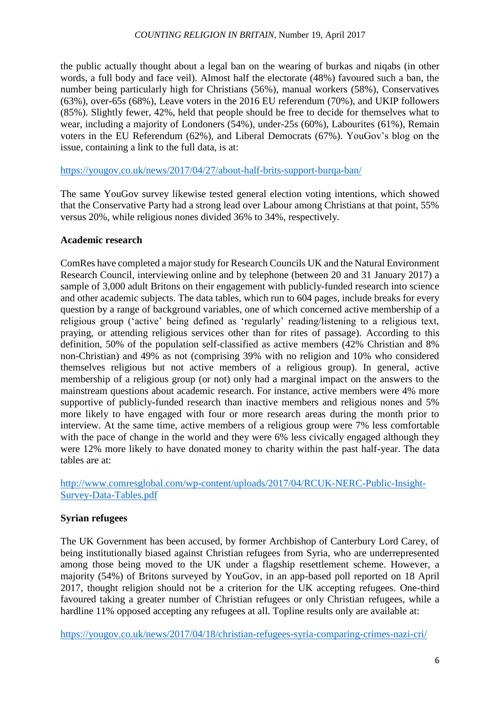the public actually thought about a legal ban on the wearing of burkas and niqabs (in other words, a full body and face veil). Almost half the electorate (48%) favoured such a ban, the number being particularly high for Christians (56%), manual workers (58%), Conservatives (63%), over-65s (68%), Leave voters in the 2016 EU referendum (70%), and UKIP followers (85%). Slightly fewer, 42%, held that people should be free to decide for themselves what to wear, including a majority of Londoners (54%), under-25s (60%), Labourites (61%), Remain voters in the EU Referendum (62%), and Liberal Democrats (67%). YouGov's blog on the issue, containing a link to the full data, is at:

<https://yougov.co.uk/news/2017/04/27/about-half-brits-support-burqa-ban/>

The same YouGov survey likewise tested general election voting intentions, which showed that the Conservative Party had a strong lead over Labour among Christians at that point, 55% versus 20%, while religious nones divided 36% to 34%, respectively.

# **Academic research**

ComRes have completed a major study for Research Councils UK and the Natural Environment Research Council, interviewing online and by telephone (between 20 and 31 January 2017) a sample of 3,000 adult Britons on their engagement with publicly-funded research into science and other academic subjects. The data tables, which run to 604 pages, include breaks for every question by a range of background variables, one of which concerned active membership of a religious group ('active' being defined as 'regularly' reading/listening to a religious text, praying, or attending religious services other than for rites of passage). According to this definition, 50% of the population self-classified as active members (42% Christian and 8% non-Christian) and 49% as not (comprising 39% with no religion and 10% who considered themselves religious but not active members of a religious group). In general, active membership of a religious group (or not) only had a marginal impact on the answers to the mainstream questions about academic research. For instance, active members were 4% more supportive of publicly-funded research than inactive members and religious nones and 5% more likely to have engaged with four or more research areas during the month prior to interview. At the same time, active members of a religious group were 7% less comfortable with the pace of change in the world and they were 6% less civically engaged although they were 12% more likely to have donated money to charity within the past half-year. The data tables are at:

[http://www.comresglobal.com/wp-content/uploads/2017/04/RCUK-NERC-Public-Insight-](http://www.comresglobal.com/wp-content/uploads/2017/04/RCUK-NERC-Public-Insight-Survey-Data-Tables.pdf)[Survey-Data-Tables.pdf](http://www.comresglobal.com/wp-content/uploads/2017/04/RCUK-NERC-Public-Insight-Survey-Data-Tables.pdf)

# **Syrian refugees**

The UK Government has been accused, by former Archbishop of Canterbury Lord Carey, of being institutionally biased against Christian refugees from Syria, who are underrepresented among those being moved to the UK under a flagship resettlement scheme. However, a majority (54%) of Britons surveyed by YouGov, in an app-based poll reported on 18 April 2017, thought religion should not be a criterion for the UK accepting refugees. One-third favoured taking a greater number of Christian refugees or only Christian refugees, while a hardline 11% opposed accepting any refugees at all. Topline results only are available at:

<https://yougov.co.uk/news/2017/04/18/christian-refugees-syria-comparing-crimes-nazi-cri/>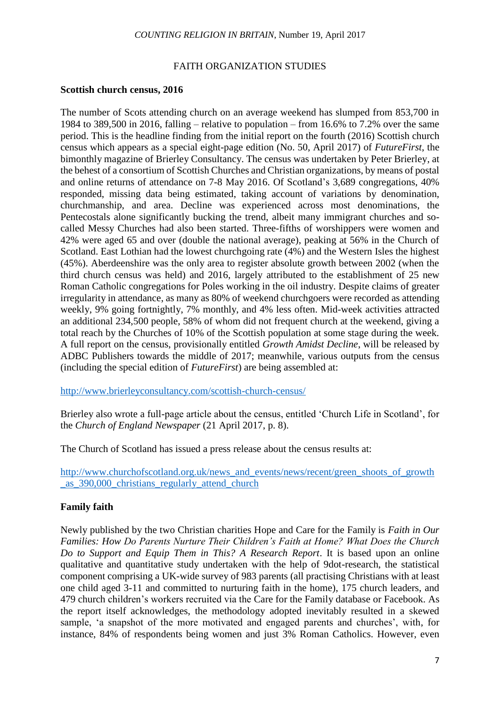#### FAITH ORGANIZATION STUDIES

#### **Scottish church census, 2016**

The number of Scots attending church on an average weekend has slumped from 853,700 in 1984 to 389,500 in 2016, falling – relative to population – from 16.6% to 7.2% over the same period. This is the headline finding from the initial report on the fourth (2016) Scottish church census which appears as a special eight-page edition (No. 50, April 2017) of *FutureFirst*, the bimonthly magazine of Brierley Consultancy. The census was undertaken by Peter Brierley, at the behest of a consortium of Scottish Churches and Christian organizations, by means of postal and online returns of attendance on 7-8 May 2016. Of Scotland's 3,689 congregations, 40% responded, missing data being estimated, taking account of variations by denomination, churchmanship, and area. Decline was experienced across most denominations, the Pentecostals alone significantly bucking the trend, albeit many immigrant churches and socalled Messy Churches had also been started. Three-fifths of worshippers were women and 42% were aged 65 and over (double the national average), peaking at 56% in the Church of Scotland. East Lothian had the lowest churchgoing rate (4%) and the Western Isles the highest (45%). Aberdeenshire was the only area to register absolute growth between 2002 (when the third church census was held) and 2016, largely attributed to the establishment of 25 new Roman Catholic congregations for Poles working in the oil industry. Despite claims of greater irregularity in attendance, as many as 80% of weekend churchgoers were recorded as attending weekly, 9% going fortnightly, 7% monthly, and 4% less often. Mid-week activities attracted an additional 234,500 people, 58% of whom did not frequent church at the weekend, giving a total reach by the Churches of 10% of the Scottish population at some stage during the week. A full report on the census, provisionally entitled *Growth Amidst Decline*, will be released by ADBC Publishers towards the middle of 2017; meanwhile, various outputs from the census (including the special edition of *FutureFirst*) are being assembled at:

<http://www.brierleyconsultancy.com/scottish-church-census/>

Brierley also wrote a full-page article about the census, entitled 'Church Life in Scotland', for the *Church of England Newspaper* (21 April 2017, p. 8).

The Church of Scotland has issued a press release about the census results at:

[http://www.churchofscotland.org.uk/news\\_and\\_events/news/recent/green\\_shoots\\_of\\_growth](http://www.churchofscotland.org.uk/news_and_events/news/recent/green_shoots_of_growth_as_390,000_christians_regularly_attend_church) [\\_as\\_390,000\\_christians\\_regularly\\_attend\\_church](http://www.churchofscotland.org.uk/news_and_events/news/recent/green_shoots_of_growth_as_390,000_christians_regularly_attend_church)

## **Family faith**

Newly published by the two Christian charities Hope and Care for the Family is *Faith in Our Families: How Do Parents Nurture Their Children's Faith at Home? What Does the Church Do to Support and Equip Them in This? A Research Report*. It is based upon an online qualitative and quantitative study undertaken with the help of 9dot-research, the statistical component comprising a UK-wide survey of 983 parents (all practising Christians with at least one child aged 3-11 and committed to nurturing faith in the home), 175 church leaders, and 479 church children's workers recruited via the Care for the Family database or Facebook. As the report itself acknowledges, the methodology adopted inevitably resulted in a skewed sample, 'a snapshot of the more motivated and engaged parents and churches', with, for instance, 84% of respondents being women and just 3% Roman Catholics. However, even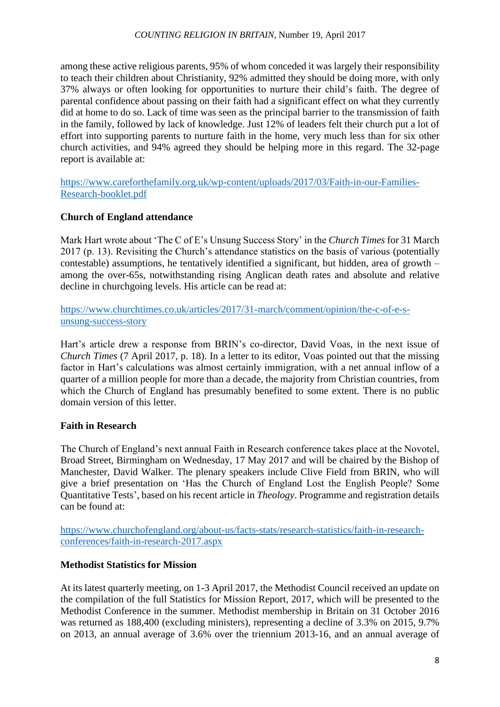## *COUNTING RELIGION IN BRITAIN*, Number 19, April 2017

among these active religious parents, 95% of whom conceded it was largely their responsibility to teach their children about Christianity, 92% admitted they should be doing more, with only 37% always or often looking for opportunities to nurture their child's faith. The degree of parental confidence about passing on their faith had a significant effect on what they currently did at home to do so. Lack of time was seen as the principal barrier to the transmission of faith in the family, followed by lack of knowledge. Just 12% of leaders felt their church put a lot of effort into supporting parents to nurture faith in the home, very much less than for six other church activities, and 94% agreed they should be helping more in this regard. The 32-page report is available at:

[https://www.careforthefamily.org.uk/wp-content/uploads/2017/03/Faith-in-our-Families-](https://www.careforthefamily.org.uk/wp-content/uploads/2017/03/Faith-in-our-Families-Research-booklet.pdf)[Research-booklet.pdf](https://www.careforthefamily.org.uk/wp-content/uploads/2017/03/Faith-in-our-Families-Research-booklet.pdf)

## **Church of England attendance**

Mark Hart wrote about 'The C of E's Unsung Success Story' in the *Church Times* for 31 March 2017 (p. 13). Revisiting the Church's attendance statistics on the basis of various (potentially contestable) assumptions, he tentatively identified a significant, but hidden, area of growth – among the over-65s, notwithstanding rising Anglican death rates and absolute and relative decline in churchgoing levels. His article can be read at:

[https://www.churchtimes.co.uk/articles/2017/31-march/comment/opinion/the-c-of-e-s](https://www.churchtimes.co.uk/articles/2017/31-march/comment/opinion/the-c-of-e-s-unsung-success-story)[unsung-success-story](https://www.churchtimes.co.uk/articles/2017/31-march/comment/opinion/the-c-of-e-s-unsung-success-story)

Hart's article drew a response from BRIN's co-director, David Voas, in the next issue of *Church Times* (7 April 2017, p. 18). In a letter to its editor, Voas pointed out that the missing factor in Hart's calculations was almost certainly immigration, with a net annual inflow of a quarter of a million people for more than a decade, the majority from Christian countries, from which the Church of England has presumably benefited to some extent. There is no public domain version of this letter.

## **Faith in Research**

The Church of England's next annual Faith in Research conference takes place at the Novotel, Broad Street, Birmingham on Wednesday, 17 May 2017 and will be chaired by the Bishop of Manchester, David Walker. The plenary speakers include Clive Field from BRIN, who will give a brief presentation on 'Has the Church of England Lost the English People? Some Quantitative Tests', based on his recent article in *Theology*. Programme and registration details can be found at:

[https://www.churchofengland.org/about-us/facts-stats/research-statistics/faith-in-research](https://www.churchofengland.org/about-us/facts-stats/research-statistics/faith-in-research-conferences/faith-in-research-2017.aspx)[conferences/faith-in-research-2017.aspx](https://www.churchofengland.org/about-us/facts-stats/research-statistics/faith-in-research-conferences/faith-in-research-2017.aspx)

## **Methodist Statistics for Mission**

At its latest quarterly meeting, on 1-3 April 2017, the Methodist Council received an update on the compilation of the full Statistics for Mission Report, 2017, which will be presented to the Methodist Conference in the summer. Methodist membership in Britain on 31 October 2016 was returned as 188,400 (excluding ministers), representing a decline of 3.3% on 2015, 9.7% on 2013, an annual average of 3.6% over the triennium 2013-16, and an annual average of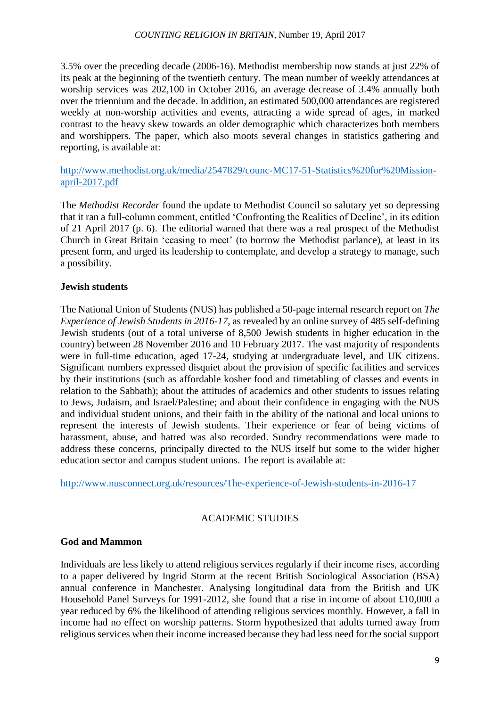3.5% over the preceding decade (2006-16). Methodist membership now stands at just 22% of its peak at the beginning of the twentieth century. The mean number of weekly attendances at worship services was 202,100 in October 2016, an average decrease of 3.4% annually both over the triennium and the decade. In addition, an estimated 500,000 attendances are registered weekly at non-worship activities and events, attracting a wide spread of ages, in marked contrast to the heavy skew towards an older demographic which characterizes both members and worshippers. The paper, which also moots several changes in statistics gathering and reporting, is available at:

[http://www.methodist.org.uk/media/2547829/counc-MC17-51-Statistics%20for%20Mission](http://www.methodist.org.uk/media/2547829/counc-MC17-51-Statistics%20for%20Mission-april-2017.pdf)[april-2017.pdf](http://www.methodist.org.uk/media/2547829/counc-MC17-51-Statistics%20for%20Mission-april-2017.pdf)

The *Methodist Recorder* found the update to Methodist Council so salutary yet so depressing that it ran a full-column comment, entitled 'Confronting the Realities of Decline', in its edition of 21 April 2017 (p. 6). The editorial warned that there was a real prospect of the Methodist Church in Great Britain 'ceasing to meet' (to borrow the Methodist parlance), at least in its present form, and urged its leadership to contemplate, and develop a strategy to manage, such a possibility.

# **Jewish students**

The National Union of Students (NUS) has published a 50-page internal research report on *The Experience of Jewish Students in 2016-17*, as revealed by an online survey of 485 self-defining Jewish students (out of a total universe of 8,500 Jewish students in higher education in the country) between 28 November 2016 and 10 February 2017. The vast majority of respondents were in full-time education, aged 17-24, studying at undergraduate level, and UK citizens. Significant numbers expressed disquiet about the provision of specific facilities and services by their institutions (such as affordable kosher food and timetabling of classes and events in relation to the Sabbath); about the attitudes of academics and other students to issues relating to Jews, Judaism, and Israel/Palestine; and about their confidence in engaging with the NUS and individual student unions, and their faith in the ability of the national and local unions to represent the interests of Jewish students. Their experience or fear of being victims of harassment, abuse, and hatred was also recorded. Sundry recommendations were made to address these concerns, principally directed to the NUS itself but some to the wider higher education sector and campus student unions. The report is available at:

<http://www.nusconnect.org.uk/resources/The-experience-of-Jewish-students-in-2016-17>

# ACADEMIC STUDIES

# **God and Mammon**

Individuals are less likely to attend religious services regularly if their income rises, according to a paper delivered by Ingrid Storm at the recent British Sociological Association (BSA) annual conference in Manchester. Analysing longitudinal data from the British and UK Household Panel Surveys for 1991-2012, she found that a rise in income of about £10,000 a year reduced by 6% the likelihood of attending religious services monthly. However, a fall in income had no effect on worship patterns. Storm hypothesized that adults turned away from religious services when their income increased because they had less need for the social support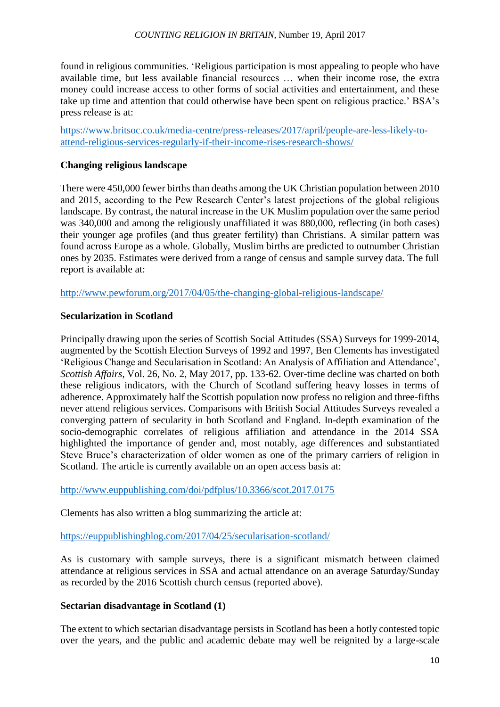found in religious communities. 'Religious participation is most appealing to people who have available time, but less available financial resources … when their income rose, the extra money could increase access to other forms of social activities and entertainment, and these take up time and attention that could otherwise have been spent on religious practice.' BSA's press release is at:

[https://www.britsoc.co.uk/media-centre/press-releases/2017/april/people-are-less-likely-to](https://www.britsoc.co.uk/media-centre/press-releases/2017/april/people-are-less-likely-to-attend-religious-services-regularly-if-their-income-rises-research-shows/)[attend-religious-services-regularly-if-their-income-rises-research-shows/](https://www.britsoc.co.uk/media-centre/press-releases/2017/april/people-are-less-likely-to-attend-religious-services-regularly-if-their-income-rises-research-shows/)

# **Changing religious landscape**

There were 450,000 fewer births than deaths among the UK Christian population between 2010 and 2015, according to the Pew Research Center's latest projections of the global religious landscape. By contrast, the natural increase in the UK Muslim population over the same period was 340,000 and among the religiously unaffiliated it was 880,000, reflecting (in both cases) their younger age profiles (and thus greater fertility) than Christians. A similar pattern was found across Europe as a whole. Globally, Muslim births are predicted to outnumber Christian ones by 2035. Estimates were derived from a range of census and sample survey data. The full report is available at:

<http://www.pewforum.org/2017/04/05/the-changing-global-religious-landscape/>

# **Secularization in Scotland**

Principally drawing upon the series of Scottish Social Attitudes (SSA) Surveys for 1999-2014, augmented by the Scottish Election Surveys of 1992 and 1997, Ben Clements has investigated 'Religious Change and Secularisation in Scotland: An Analysis of Affiliation and Attendance', *Scottish Affairs*, Vol. 26, No. 2, May 2017, pp. 133-62. Over-time decline was charted on both these religious indicators, with the Church of Scotland suffering heavy losses in terms of adherence. Approximately half the Scottish population now profess no religion and three-fifths never attend religious services. Comparisons with British Social Attitudes Surveys revealed a converging pattern of secularity in both Scotland and England. In-depth examination of the socio-demographic correlates of religious affiliation and attendance in the 2014 SSA highlighted the importance of gender and, most notably, age differences and substantiated Steve Bruce's characterization of older women as one of the primary carriers of religion in Scotland. The article is currently available on an open access basis at:

<http://www.euppublishing.com/doi/pdfplus/10.3366/scot.2017.0175>

Clements has also written a blog summarizing the article at:

<https://euppublishingblog.com/2017/04/25/secularisation-scotland/>

As is customary with sample surveys, there is a significant mismatch between claimed attendance at religious services in SSA and actual attendance on an average Saturday/Sunday as recorded by the 2016 Scottish church census (reported above).

## **Sectarian disadvantage in Scotland (1)**

The extent to which sectarian disadvantage persists in Scotland has been a hotly contested topic over the years, and the public and academic debate may well be reignited by a large-scale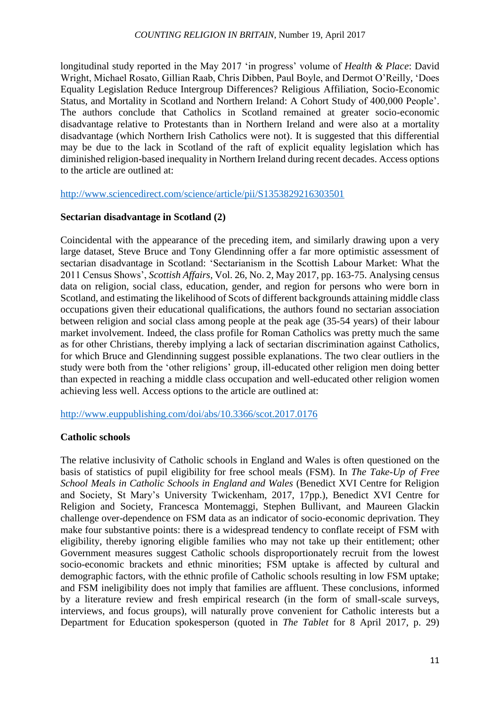longitudinal study reported in the May 2017 'in progress' volume of *Health & Place*: David Wright, Michael Rosato, Gillian Raab, Chris Dibben, Paul Boyle, and Dermot O'Reilly, 'Does Equality Legislation Reduce Intergroup Differences? Religious Affiliation, Socio-Economic Status, and Mortality in Scotland and Northern Ireland: A Cohort Study of 400,000 People'. The authors conclude that Catholics in Scotland remained at greater socio-economic disadvantage relative to Protestants than in Northern Ireland and were also at a mortality disadvantage (which Northern Irish Catholics were not). It is suggested that this differential may be due to the lack in Scotland of the raft of explicit equality legislation which has diminished religion-based inequality in Northern Ireland during recent decades. Access options to the article are outlined at:

<http://www.sciencedirect.com/science/article/pii/S1353829216303501>

# **Sectarian disadvantage in Scotland (2)**

Coincidental with the appearance of the preceding item, and similarly drawing upon a very large dataset, Steve Bruce and Tony Glendinning offer a far more optimistic assessment of sectarian disadvantage in Scotland: 'Sectarianism in the Scottish Labour Market: What the 2011 Census Shows', *Scottish Affairs*, Vol. 26, No. 2, May 2017, pp. 163-75. Analysing census data on religion, social class, education, gender, and region for persons who were born in Scotland, and estimating the likelihood of Scots of different backgrounds attaining middle class occupations given their educational qualifications, the authors found no sectarian association between religion and social class among people at the peak age (35-54 years) of their labour market involvement. Indeed, the class profile for Roman Catholics was pretty much the same as for other Christians, thereby implying a lack of sectarian discrimination against Catholics, for which Bruce and Glendinning suggest possible explanations. The two clear outliers in the study were both from the 'other religions' group, ill-educated other religion men doing better than expected in reaching a middle class occupation and well-educated other religion women achieving less well. Access options to the article are outlined at:

<http://www.euppublishing.com/doi/abs/10.3366/scot.2017.0176>

## **Catholic schools**

The relative inclusivity of Catholic schools in England and Wales is often questioned on the basis of statistics of pupil eligibility for free school meals (FSM). In *The Take-Up of Free School Meals in Catholic Schools in England and Wales* (Benedict XVI Centre for Religion and Society, St Mary's University Twickenham, 2017, 17pp.), Benedict XVI Centre for Religion and Society, Francesca Montemaggi, Stephen Bullivant, and Maureen Glackin challenge over-dependence on FSM data as an indicator of socio-economic deprivation. They make four substantive points: there is a widespread tendency to conflate receipt of FSM with eligibility, thereby ignoring eligible families who may not take up their entitlement; other Government measures suggest Catholic schools disproportionately recruit from the lowest socio-economic brackets and ethnic minorities; FSM uptake is affected by cultural and demographic factors, with the ethnic profile of Catholic schools resulting in low FSM uptake; and FSM ineligibility does not imply that families are affluent. These conclusions, informed by a literature review and fresh empirical research (in the form of small-scale surveys, interviews, and focus groups), will naturally prove convenient for Catholic interests but a Department for Education spokesperson (quoted in *The Tablet* for 8 April 2017, p. 29)